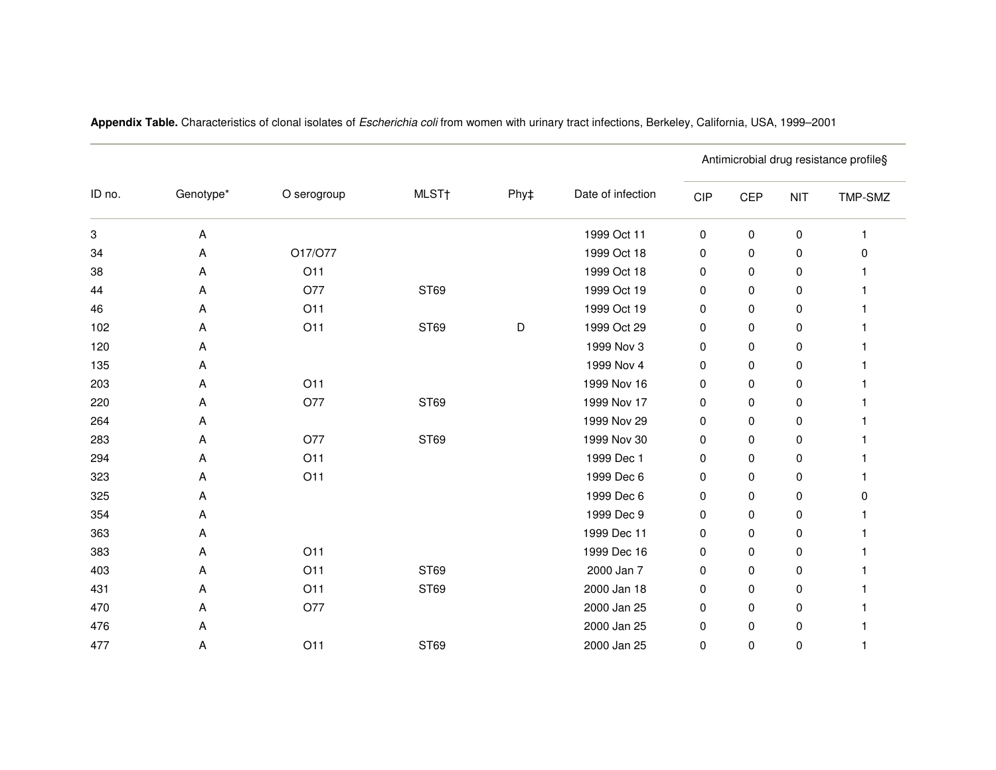| ID no. | Genotype* | O serogroup | MLST <sub>t</sub> | Phy‡ | Date of infection | Antimicrobial drug resistance profile§ |            |            |         |
|--------|-----------|-------------|-------------------|------|-------------------|----------------------------------------|------------|------------|---------|
|        |           |             |                   |      |                   | <b>CIP</b>                             | <b>CEP</b> | <b>NIT</b> | TMP-SMZ |
| 3      | A         |             |                   |      | 1999 Oct 11       | 0                                      | 0          | 0          |         |
| 34     | Α         | O17/O77     |                   |      | 1999 Oct 18       | 0                                      | 0          | 0          | ŋ       |
| 38     | A         | O11         |                   |      | 1999 Oct 18       | 0                                      | 0          | 0          |         |
| 44     | Α         | O77         | ST69              |      | 1999 Oct 19       | 0                                      | 0          | 0          |         |
| 46     | Α         | O11         |                   |      | 1999 Oct 19       | 0                                      | 0          | 0          |         |
| 102    | Α         | O11         | ST69              | D    | 1999 Oct 29       | 0                                      | 0          | 0          |         |
| 120    | Α         |             |                   |      | 1999 Nov 3        | 0                                      | 0          | 0          |         |
| 135    | Α         |             |                   |      | 1999 Nov 4        | 0                                      | 0          | 0          |         |
| 203    | Α         | O11         |                   |      | 1999 Nov 16       | 0                                      | 0          | 0          |         |
| 220    | Α         | O77         | ST69              |      | 1999 Nov 17       | 0                                      | 0          | 0          |         |
| 264    | Α         |             |                   |      | 1999 Nov 29       | 0                                      | 0          | 0          |         |
| 283    | A         | O77         | ST69              |      | 1999 Nov 30       | 0                                      | 0          | 0          |         |
| 294    | A         | O11         |                   |      | 1999 Dec 1        | 0                                      | 0          | 0          |         |
| 323    | Α         | O11         |                   |      | 1999 Dec 6        | 0                                      | 0          | 0          |         |
| 325    | Α         |             |                   |      | 1999 Dec 6        | 0                                      | 0          | 0          | O       |
| 354    | Α         |             |                   |      | 1999 Dec 9        | 0                                      | 0          | 0          |         |
| 363    | A         |             |                   |      | 1999 Dec 11       | 0                                      | 0          | 0          |         |
| 383    | Α         | O11         |                   |      | 1999 Dec 16       | 0                                      | 0          | 0          |         |
| 403    | Α         | O11         | ST69              |      | 2000 Jan 7        | 0                                      | 0          | 0          |         |
| 431    | Α         | O11         | ST69              |      | 2000 Jan 18       | 0                                      | 0          | 0          |         |
| 470    | Α         | O77         |                   |      | 2000 Jan 25       | 0                                      | 0          | 0          |         |
| 476    | Α         |             |                   |      | 2000 Jan 25       | 0                                      | 0          | 0          |         |
| 477    | Α         | O11         | ST69              |      | 2000 Jan 25       | 0                                      | 0          | 0          |         |

**Appendix Table.** Characteristics of clonal isolates of Escherichia coli from women with urinary tract infections, Berkeley, California, USA, 1999–2001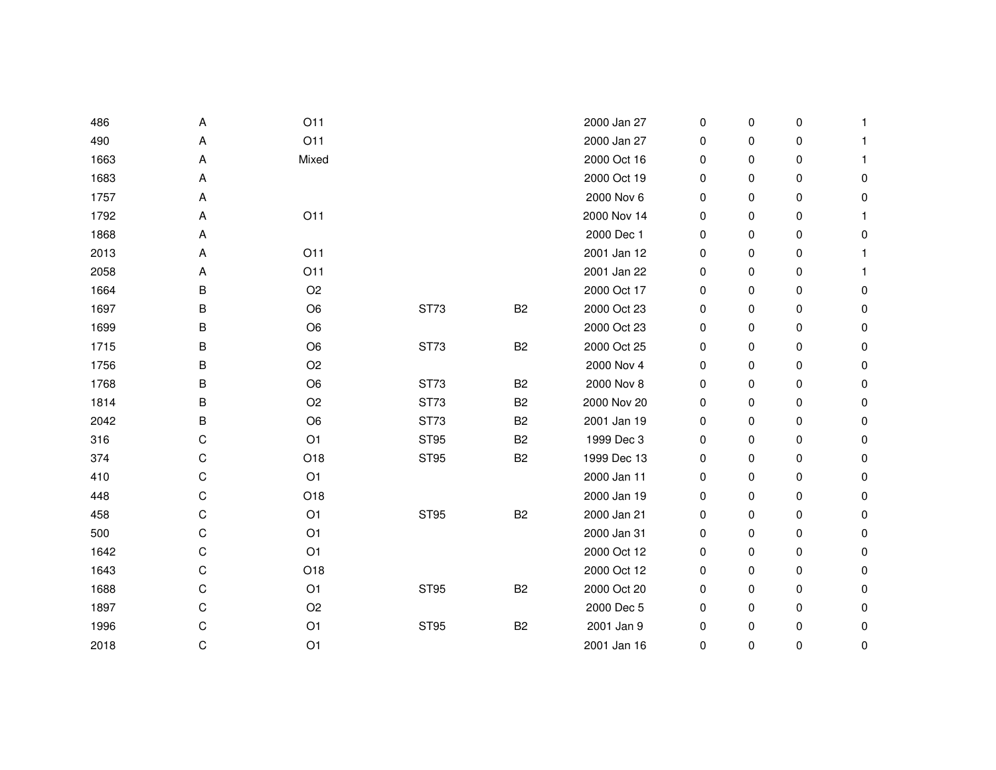| 486  | A | O11            |             |                | 2000 Jan 27 | 0 | 0 | 0 | -1        |
|------|---|----------------|-------------|----------------|-------------|---|---|---|-----------|
| 490  | А | O11            |             |                | 2000 Jan 27 | 0 | 0 | 0 | 1         |
| 1663 | Α | Mixed          |             |                | 2000 Oct 16 | 0 | 0 | 0 | 1         |
| 1683 | А |                |             |                | 2000 Oct 19 | 0 | 0 | 0 | 0         |
| 1757 | А |                |             |                | 2000 Nov 6  | 0 | 0 | 0 | 0         |
| 1792 | Α | O11            |             |                | 2000 Nov 14 | 0 | 0 | 0 | 1         |
| 1868 | А |                |             |                | 2000 Dec 1  | 0 | 0 | 0 | 0         |
| 2013 | А | O11            |             |                | 2001 Jan 12 | 0 | 0 | 0 | -1        |
| 2058 | Α | O11            |             |                | 2001 Jan 22 | 0 | 0 | 0 |           |
| 1664 | В | O <sub>2</sub> |             |                | 2000 Oct 17 | 0 | 0 | 0 | 0         |
| 1697 | В | O <sub>6</sub> | ST73        | <b>B2</b>      | 2000 Oct 23 | 0 | 0 | 0 | 0         |
| 1699 | В | O <sub>6</sub> |             |                | 2000 Oct 23 | 0 | 0 | 0 | $\pmb{0}$ |
| 1715 | В | O <sub>6</sub> | <b>ST73</b> | B <sub>2</sub> | 2000 Oct 25 | 0 | 0 | 0 | 0         |
| 1756 | В | O <sub>2</sub> |             |                | 2000 Nov 4  | 0 | 0 | 0 | 0         |
| 1768 | В | O <sub>6</sub> | ST73        | B <sub>2</sub> | 2000 Nov 8  | 0 | 0 | 0 | 0         |
| 1814 | В | O <sub>2</sub> | ST73        | B <sub>2</sub> | 2000 Nov 20 | 0 | 0 | 0 | 0         |
| 2042 | В | O <sub>6</sub> | ST73        | B <sub>2</sub> | 2001 Jan 19 | 0 | 0 | 0 | 0         |
| 316  | С | O <sub>1</sub> | <b>ST95</b> | B <sub>2</sub> | 1999 Dec 3  | 0 | 0 | 0 | 0         |
| 374  | С | O18            | <b>ST95</b> | <b>B2</b>      | 1999 Dec 13 | 0 | 0 | 0 | 0         |
| 410  | С | O <sub>1</sub> |             |                | 2000 Jan 11 | 0 | 0 | 0 | 0         |
| 448  | С | O18            |             |                | 2000 Jan 19 | 0 | 0 | 0 | 0         |
| 458  | С | O <sub>1</sub> | <b>ST95</b> | <b>B2</b>      | 2000 Jan 21 | 0 | 0 | 0 | 0         |
| 500  | С | O <sub>1</sub> |             |                | 2000 Jan 31 | 0 | 0 | 0 | 0         |
| 1642 | С | O <sub>1</sub> |             |                | 2000 Oct 12 | 0 | 0 | 0 | 0         |
| 1643 | С | O18            |             |                | 2000 Oct 12 | 0 | 0 | 0 | 0         |
| 1688 | С | O <sub>1</sub> | <b>ST95</b> | <b>B2</b>      | 2000 Oct 20 | 0 | 0 | 0 | 0         |
| 1897 | С | O <sub>2</sub> |             |                | 2000 Dec 5  | 0 | 0 | 0 | 0         |
| 1996 | С | O <sub>1</sub> | <b>ST95</b> | <b>B2</b>      | 2001 Jan 9  | 0 | 0 | 0 | 0         |
| 2018 | С | O <sub>1</sub> |             |                | 2001 Jan 16 | 0 | 0 | 0 | 0         |